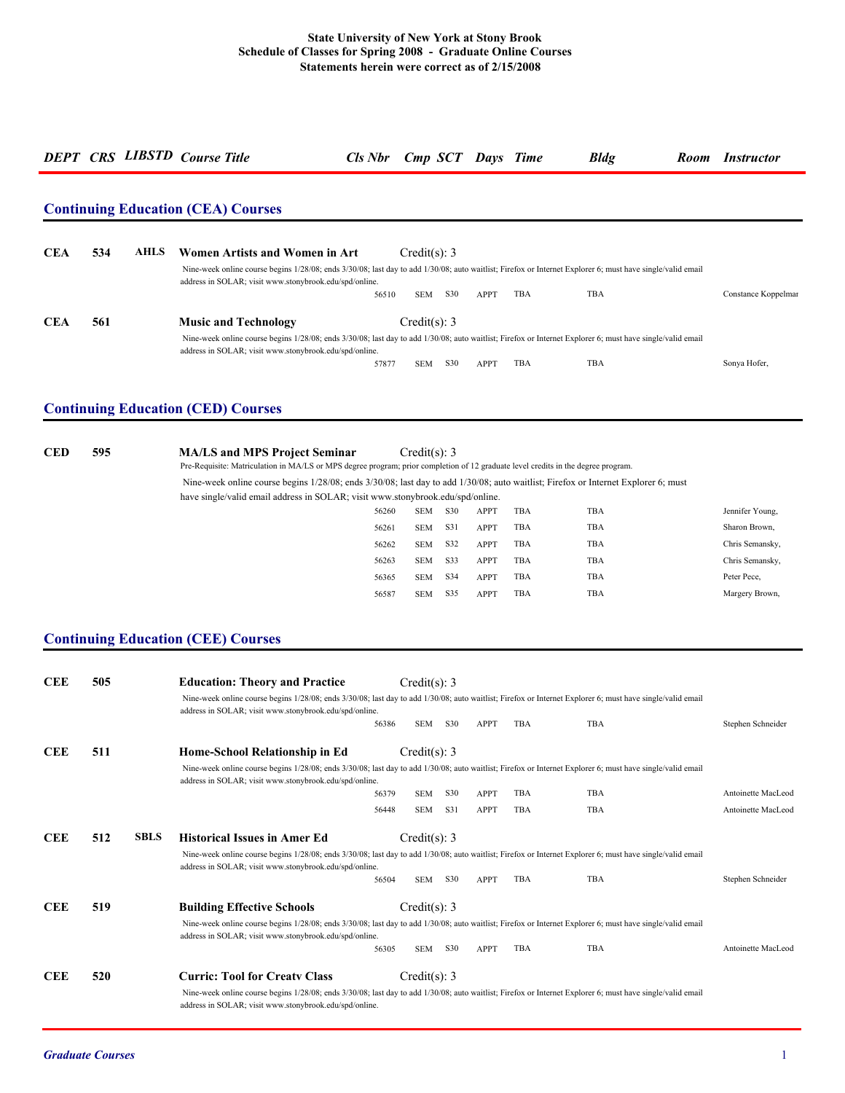|            |     |             | <b>Continuing Education (CEA) Courses</b>                                                                                                                                                                            |       |                |     |             |     |     |                     |
|------------|-----|-------------|----------------------------------------------------------------------------------------------------------------------------------------------------------------------------------------------------------------------|-------|----------------|-----|-------------|-----|-----|---------------------|
|            |     |             |                                                                                                                                                                                                                      |       |                |     |             |     |     |                     |
| <b>CEA</b> | 534 | <b>AHLS</b> | Women Artists and Women in Art                                                                                                                                                                                       |       | Credit(s): $3$ |     |             |     |     |                     |
|            |     |             | Nine-week online course begins 1/28/08; ends 3/30/08; last day to add 1/30/08; auto waitlist; Firefox or Internet Explorer 6; must have single/valid email<br>address in SOLAR; visit www.stonybrook.edu/spd/online. |       |                |     |             |     |     |                     |
|            |     |             |                                                                                                                                                                                                                      | 56510 | <b>SEM</b>     | S30 | <b>APPT</b> | TBA | TBA | Constance Koppelmar |
| <b>CEA</b> | 561 |             | <b>Music and Technology</b>                                                                                                                                                                                          |       | Credit(s): $3$ |     |             |     |     |                     |
|            |     |             | Nine-week online course begins 1/28/08; ends 3/30/08; last day to add 1/30/08; auto waitlist; Firefox or Internet Explorer 6; must have single/valid email<br>address in SOLAR; visit www.stonybrook.edu/spd/online. |       |                |     |             |     |     |                     |
|            |     |             |                                                                                                                                                                                                                      | 57877 | <b>SEM</b>     | S30 | APPT        | TBA | TBA | Sonya Hofer,        |

| <b>CED</b> | 595 | <b>MA/LS and MPS Project Seminar</b><br>Pre-Requisite: Matriculation in MA/LS or MPS degree program; prior completion of 12 graduate level credits in the degree program. |       | Credit(s): 3 |     |             |     |            |                 |
|------------|-----|---------------------------------------------------------------------------------------------------------------------------------------------------------------------------|-------|--------------|-----|-------------|-----|------------|-----------------|
|            |     | Nine-week online course begins 1/28/08; ends 3/30/08; last day to add 1/30/08; auto waitlist; Firefox or Internet Explorer 6; must                                        |       |              |     |             |     |            |                 |
|            |     | have single/valid email address in SOLAR; visit www.stonybrook.edu/spd/online.                                                                                            |       |              |     |             |     |            |                 |
|            |     |                                                                                                                                                                           | 56260 | <b>SEM</b>   | S30 | <b>APPT</b> | TBA | TBA        | Jennifer Young, |
|            |     |                                                                                                                                                                           | 56261 | <b>SEM</b>   | S31 | <b>APPT</b> | TBA | TBA        | Sharon Brown,   |
|            |     |                                                                                                                                                                           | 56262 | SEM          | S32 | <b>APPT</b> | TBA | TBA        | Chris Semansky, |
|            |     |                                                                                                                                                                           | 56263 | <b>SEM</b>   | S33 | <b>APPT</b> | TBA | TBA        | Chris Semansky, |
|            |     |                                                                                                                                                                           | 56365 | <b>SEM</b>   | S34 | <b>APPT</b> | TBA | TBA        | Peter Pece,     |
|            |     |                                                                                                                                                                           | 56587 | <b>SEM</b>   | S35 | <b>APPT</b> | TBA | <b>TBA</b> | Margery Brown,  |

# **Continuing Education (CEE) Courses**

| <b>CEE</b> | 505                | <b>Education: Theory and Practice</b>                                                                                                                                                                                | Credit(s): 3   |     |             |            |            |                    |
|------------|--------------------|----------------------------------------------------------------------------------------------------------------------------------------------------------------------------------------------------------------------|----------------|-----|-------------|------------|------------|--------------------|
|            |                    | Nine-week online course begins 1/28/08; ends 3/30/08; last day to add 1/30/08; auto waitlist; Firefox or Internet Explorer 6; must have single/valid email<br>address in SOLAR; visit www.stonybrook.edu/spd/online. |                |     |             |            |            |                    |
|            |                    | 56386                                                                                                                                                                                                                | <b>SEM</b>     | S30 | <b>APPT</b> | TBA        | TBA        | Stephen Schneider  |
| <b>CEE</b> | 511                | Home-School Relationship in Ed                                                                                                                                                                                       | Credit(s): $3$ |     |             |            |            |                    |
|            |                    | Nine-week online course begins 1/28/08; ends 3/30/08; last day to add 1/30/08; auto waitlist; Firefox or Internet Explorer 6; must have single/valid email<br>address in SOLAR; visit www.stonybrook.edu/spd/online. |                |     |             |            |            |                    |
|            |                    | 56379                                                                                                                                                                                                                | <b>SEM</b>     | S30 | <b>APPT</b> | <b>TBA</b> | <b>TBA</b> | Antoinette MacLeod |
|            |                    | 56448                                                                                                                                                                                                                | <b>SEM</b>     | S31 | <b>APPT</b> | <b>TBA</b> | <b>TBA</b> | Antoinette MacLeod |
| <b>CEE</b> | 512<br><b>SBLS</b> | <b>Historical Issues in Amer Ed</b>                                                                                                                                                                                  | Credit(s): 3   |     |             |            |            |                    |
|            |                    | Nine-week online course begins 1/28/08; ends 3/30/08; last day to add 1/30/08; auto waitlist; Firefox or Internet Explorer 6; must have single/valid email<br>address in SOLAR; visit www.stonybrook.edu/spd/online. |                |     |             |            |            |                    |
|            |                    | 56504                                                                                                                                                                                                                | <b>SEM</b>     | S30 | <b>APPT</b> | <b>TBA</b> | <b>TBA</b> | Stephen Schneider  |
| <b>CEE</b> | 519                | <b>Building Effective Schools</b>                                                                                                                                                                                    | Credit(s): $3$ |     |             |            |            |                    |
|            |                    | Nine-week online course begins 1/28/08; ends 3/30/08; last day to add 1/30/08; auto waitlist; Firefox or Internet Explorer 6; must have single/valid email<br>address in SOLAR; visit www.stonybrook.edu/spd/online. |                |     |             |            |            |                    |
|            |                    | 56305                                                                                                                                                                                                                | <b>SEM</b>     | S30 | <b>APPT</b> | TBA        | TBA        | Antoinette MacLeod |
| <b>CEE</b> | 520                | <b>Curric: Tool for Creaty Class</b>                                                                                                                                                                                 | Credit(s): 3   |     |             |            |            |                    |
|            |                    |                                                                                                                                                                                                                      |                |     |             |            |            |                    |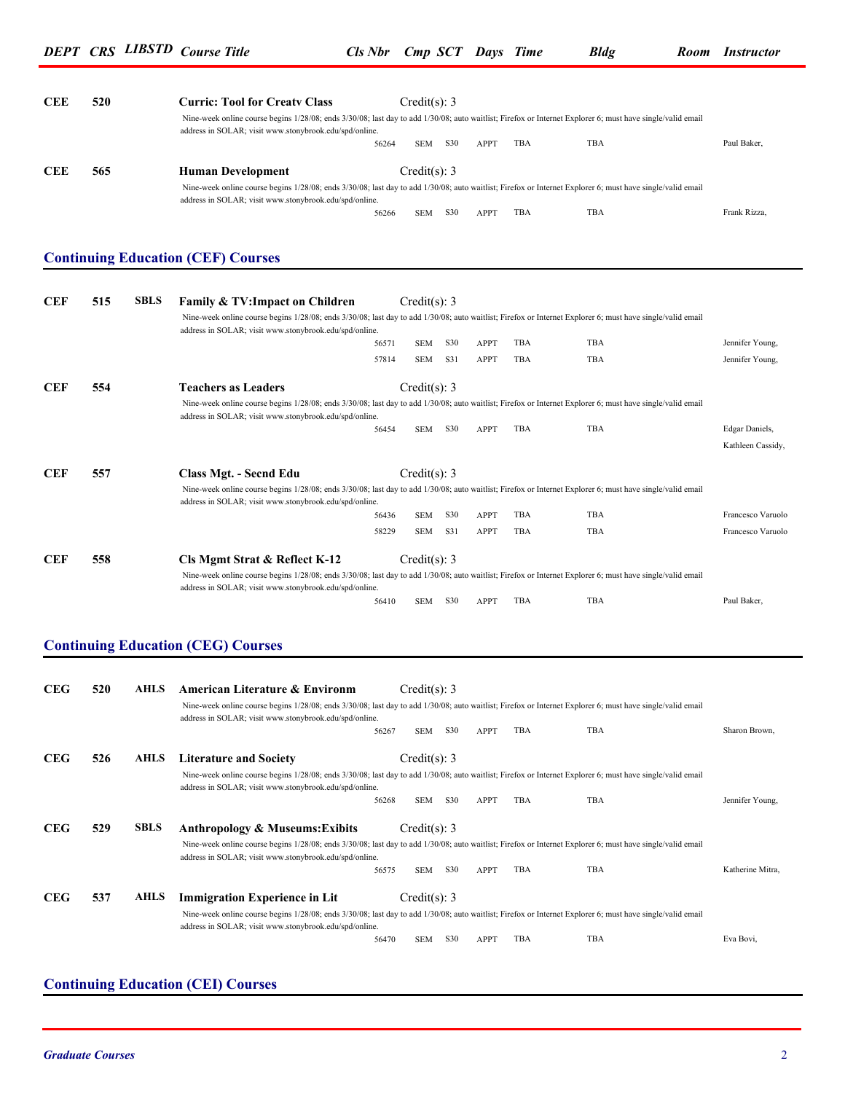| <b>CEE</b> | 520 | <b>Curric: Tool for Creaty Class</b><br>Nine-week online course begins 1/28/08; ends 3/30/08; last day to add 1/30/08; auto waitlist; Firefox or Internet Explorer 6; must have single/valid email<br>address in SOLAR; visit www.stonybrook.edu/spd/online. |       | Credit(s): 3 |                 |             |            |     |              |
|------------|-----|--------------------------------------------------------------------------------------------------------------------------------------------------------------------------------------------------------------------------------------------------------------|-------|--------------|-----------------|-------------|------------|-----|--------------|
|            |     |                                                                                                                                                                                                                                                              | 56264 | <b>SEM</b>   | S <sub>30</sub> | <b>APPT</b> | <b>TBA</b> | TBA | Paul Baker,  |
| <b>CEE</b> | 565 | <b>Human Development</b>                                                                                                                                                                                                                                     |       | Credit(s): 3 |                 |             |            |     |              |
|            |     | Nine-week online course begins 1/28/08; ends 3/30/08; last day to add 1/30/08; auto waitlist; Firefox or Internet Explorer 6; must have single/valid email<br>address in SOLAR; visit www.stonybrook.edu/spd/online.                                         |       |              |                 |             |            |     |              |
|            |     |                                                                                                                                                                                                                                                              | 56266 | <b>SEM</b>   | S <sub>30</sub> | APPT        | <b>TBA</b> | TBA | Frank Rizza, |

## **Continuing Education (CEF) Courses**

| <b>CEF</b> | 515 | <b>SBLS</b> | <b>Family &amp; TV: Impact on Children</b>                                                                                                                                                                           |       | Credit(s): 3 |            |             |            |     |                   |
|------------|-----|-------------|----------------------------------------------------------------------------------------------------------------------------------------------------------------------------------------------------------------------|-------|--------------|------------|-------------|------------|-----|-------------------|
|            |     |             | Nine-week online course begins 1/28/08; ends 3/30/08; last day to add 1/30/08; auto waitlist; Firefox or Internet Explorer 6; must have single/valid email<br>address in SOLAR; visit www.stonybrook.edu/spd/online. |       |              |            |             |            |     |                   |
|            |     |             |                                                                                                                                                                                                                      | 56571 | <b>SEM</b>   | S30        | <b>APPT</b> | TBA        | TBA | Jennifer Young,   |
|            |     |             |                                                                                                                                                                                                                      | 57814 | <b>SEM</b>   | S31        | <b>APPT</b> | TBA        | TBA | Jennifer Young,   |
| <b>CEF</b> | 554 |             | <b>Teachers as Leaders</b>                                                                                                                                                                                           |       | Credit(s): 3 |            |             |            |     |                   |
|            |     |             | Nine-week online course begins 1/28/08; ends 3/30/08; last day to add 1/30/08; auto waitlist; Firefox or Internet Explorer 6; must have single/valid email<br>address in SOLAR; visit www.stonybrook.edu/spd/online. |       |              |            |             |            |     |                   |
|            |     |             |                                                                                                                                                                                                                      | 56454 | <b>SEM</b>   | <b>S30</b> | <b>APPT</b> | <b>TBA</b> | TBA | Edgar Daniels,    |
|            |     |             |                                                                                                                                                                                                                      |       |              |            |             |            |     | Kathleen Cassidy, |
| <b>CEF</b> | 557 |             | Class Mgt. - Secnd Edu                                                                                                                                                                                               |       | Credit(s): 3 |            |             |            |     |                   |
|            |     |             | Nine-week online course begins 1/28/08; ends 3/30/08; last day to add 1/30/08; auto waitlist; Firefox or Internet Explorer 6; must have single/valid email<br>address in SOLAR; visit www.stonybrook.edu/spd/online. |       |              |            |             |            |     |                   |
|            |     |             |                                                                                                                                                                                                                      | 56436 | <b>SEM</b>   | <b>S30</b> | <b>APPT</b> | <b>TBA</b> | TBA | Francesco Varuolo |
|            |     |             |                                                                                                                                                                                                                      | 58229 | <b>SEM</b>   | S31        | <b>APPT</b> | <b>TBA</b> | TBA | Francesco Varuolo |
| <b>CEF</b> | 558 |             | Cls Mgmt Strat & Reflect K-12                                                                                                                                                                                        |       | Credit(s): 3 |            |             |            |     |                   |
|            |     |             | Nine-week online course begins 1/28/08; ends 3/30/08; last day to add 1/30/08; auto waitlist; Firefox or Internet Explorer 6; must have single/valid email<br>address in SOLAR; visit www.stonybrook.edu/spd/online. |       |              |            |             |            |     |                   |
|            |     |             |                                                                                                                                                                                                                      | 56410 | <b>SEM</b>   | S30        | <b>APPT</b> | <b>TBA</b> | TBA | Paul Baker,       |

### **Continuing Education (CEG) Courses**

| <b>CEG</b> | 520 | <b>AHLS</b> | American Literature & Environm<br>Nine-week online course begins 1/28/08; ends 3/30/08; last day to add 1/30/08; auto waitlist; Firefox or Internet Explorer 6; must have single/valid email<br>address in SOLAR; visit www.stonybrook.edu/spd/online. | Credit(s): $3$ |     |             |            |            |                  |
|------------|-----|-------------|--------------------------------------------------------------------------------------------------------------------------------------------------------------------------------------------------------------------------------------------------------|----------------|-----|-------------|------------|------------|------------------|
|            |     |             | 56267                                                                                                                                                                                                                                                  | <b>SEM</b>     | S30 | <b>APPT</b> | <b>TBA</b> | TBA        | Sharon Brown,    |
| <b>CEG</b> | 526 | <b>AHLS</b> | <b>Literature and Society</b>                                                                                                                                                                                                                          | Credit(s): 3   |     |             |            |            |                  |
|            |     |             | Nine-week online course begins 1/28/08; ends 3/30/08; last day to add 1/30/08; auto waitlist; Firefox or Internet Explorer 6; must have single/valid email<br>address in SOLAR; visit www.stonybrook.edu/spd/online.                                   |                |     |             |            |            |                  |
|            |     |             | 56268                                                                                                                                                                                                                                                  | <b>SEM</b>     | S30 | <b>APPT</b> | <b>TBA</b> | <b>TBA</b> | Jennifer Young,  |
| <b>CEG</b> | 529 | <b>SBLS</b> | <b>Anthropology &amp; Museums: Exibits</b>                                                                                                                                                                                                             | Credit(s): $3$ |     |             |            |            |                  |
|            |     |             | Nine-week online course begins 1/28/08; ends 3/30/08; last day to add 1/30/08; auto waitlist; Firefox or Internet Explorer 6; must have single/valid email<br>address in SOLAR; visit www.stonybrook.edu/spd/online.                                   |                |     |             |            |            |                  |
|            |     |             | 56575                                                                                                                                                                                                                                                  | <b>SEM</b>     | S30 | APPT        | TBA        | TBA        | Katherine Mitra, |
| <b>CEG</b> | 537 | <b>AHLS</b> | <b>Immigration Experience in Lit</b>                                                                                                                                                                                                                   | Credit(s): $3$ |     |             |            |            |                  |
|            |     |             | Nine-week online course begins 1/28/08; ends 3/30/08; last day to add 1/30/08; auto waitlist; Firefox or Internet Explorer 6; must have single/valid email<br>address in SOLAR; visit www.stonybrook.edu/spd/online.                                   |                |     |             |            |            |                  |
|            |     |             | 56470                                                                                                                                                                                                                                                  | <b>SEM</b>     | S30 | APPT        | <b>TBA</b> | TBA        | Eva Bovi,        |

### **Continuing Education (CEI) Courses**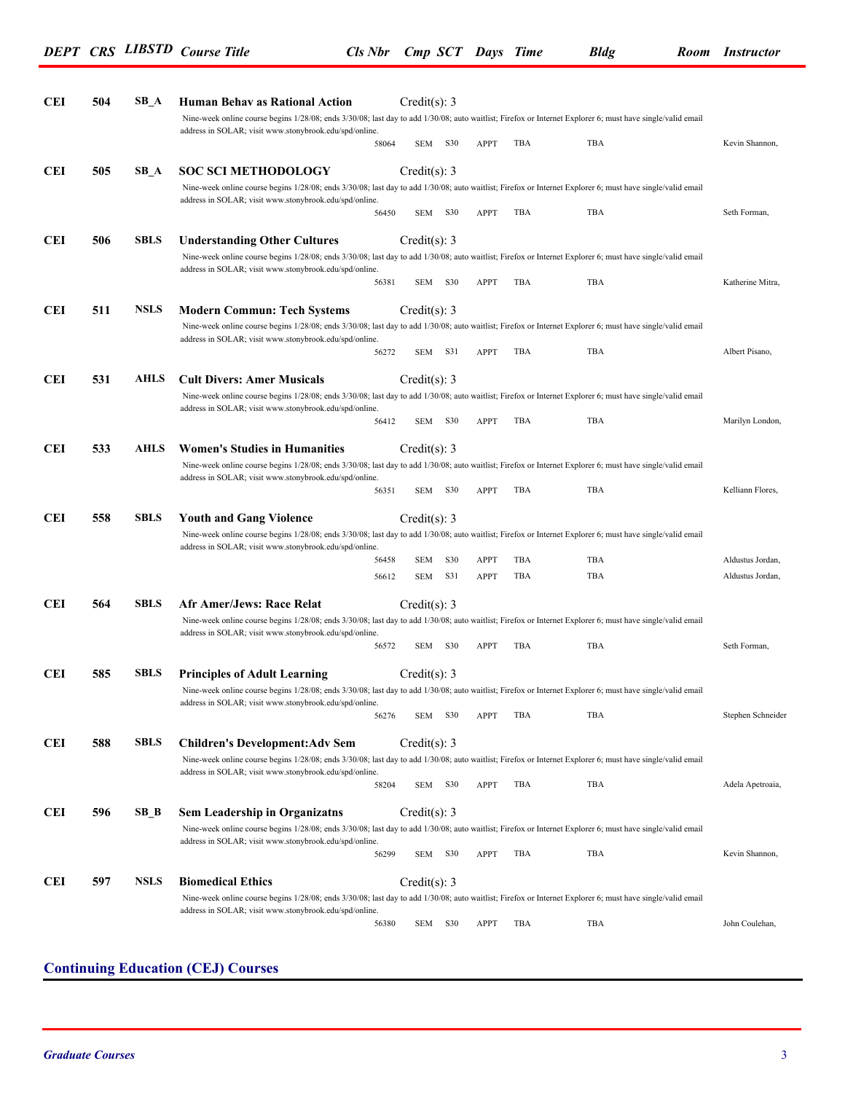| <b>CEI</b> | 504 | $SB_A$      | <b>Human Behav as Rational Action</b>                                                                                                                                                                                | Credit(s): 3   |         |             |     |     |                   |
|------------|-----|-------------|----------------------------------------------------------------------------------------------------------------------------------------------------------------------------------------------------------------------|----------------|---------|-------------|-----|-----|-------------------|
|            |     |             | Nine-week online course begins 1/28/08; ends 3/30/08; last day to add 1/30/08; auto waitlist; Firefox or Internet Explorer 6; must have single/valid email                                                           |                |         |             |     |     |                   |
|            |     |             | address in SOLAR; visit www.stonybrook.edu/spd/online.<br>58064                                                                                                                                                      | SEM            | S30     | APPT        | TBA | TBA | Kevin Shannon,    |
|            |     |             |                                                                                                                                                                                                                      |                |         |             |     |     |                   |
| <b>CEI</b> | 505 | $SB_A$      | <b>SOC SCI METHODOLOGY</b>                                                                                                                                                                                           | Credit(s): $3$ |         |             |     |     |                   |
|            |     |             | Nine-week online course begins 1/28/08; ends 3/30/08; last day to add 1/30/08; auto waitlist; Firefox or Internet Explorer 6; must have single/valid email<br>address in SOLAR; visit www.stonybrook.edu/spd/online. |                |         |             |     |     |                   |
|            |     |             | 56450                                                                                                                                                                                                                |                | SEM S30 | APPT        | TBA | TBA | Seth Forman,      |
| <b>CEI</b> | 506 | <b>SBLS</b> | <b>Understanding Other Cultures</b>                                                                                                                                                                                  | Credit(s): $3$ |         |             |     |     |                   |
|            |     |             | Nine-week online course begins 1/28/08; ends 3/30/08; last day to add 1/30/08; auto waitlist; Firefox or Internet Explorer 6; must have single/valid email                                                           |                |         |             |     |     |                   |
|            |     |             | address in SOLAR; visit www.stonybrook.edu/spd/online.                                                                                                                                                               |                |         |             |     |     |                   |
|            |     |             | 56381                                                                                                                                                                                                                | SEM            | S30     | APPT        | TBA | TBA | Katherine Mitra,  |
| <b>CEI</b> | 511 | <b>NSLS</b> | <b>Modern Commun: Tech Systems</b>                                                                                                                                                                                   | Credit(s): 3   |         |             |     |     |                   |
|            |     |             | Nine-week online course begins 1/28/08; ends 3/30/08; last day to add 1/30/08; auto waitlist; Firefox or Internet Explorer 6; must have single/valid email                                                           |                |         |             |     |     |                   |
|            |     |             | address in SOLAR; visit www.stonybrook.edu/spd/online.                                                                                                                                                               |                |         |             |     |     |                   |
|            |     |             | 56272                                                                                                                                                                                                                |                | SEM S31 | APPT        | TBA | TBA | Albert Pisano,    |
| <b>CEI</b> | 531 | AHLS        | <b>Cult Divers: Amer Musicals</b>                                                                                                                                                                                    | Credit(s): $3$ |         |             |     |     |                   |
|            |     |             | Nine-week online course begins 1/28/08; ends 3/30/08; last day to add 1/30/08; auto waitlist; Firefox or Internet Explorer 6; must have single/valid email                                                           |                |         |             |     |     |                   |
|            |     |             | address in SOLAR; visit www.stonybrook.edu/spd/online.<br>56412                                                                                                                                                      |                | SEM S30 | <b>APPT</b> | TBA | TBA | Marilyn London,   |
| <b>CEI</b> | 533 | AHLS        | <b>Women's Studies in Humanities</b>                                                                                                                                                                                 | Credit(s): $3$ |         |             |     |     |                   |
|            |     |             | Nine-week online course begins 1/28/08; ends 3/30/08; last day to add 1/30/08; auto waitlist; Firefox or Internet Explorer 6; must have single/valid email                                                           |                |         |             |     |     |                   |
|            |     |             | address in SOLAR; visit www.stonybrook.edu/spd/online.                                                                                                                                                               |                |         |             |     |     |                   |
|            |     |             | 56351                                                                                                                                                                                                                | SEM            | S30     | APPT        | TBA | TBA | Kelliann Flores,  |
| <b>CEI</b> | 558 | <b>SBLS</b> | <b>Youth and Gang Violence</b>                                                                                                                                                                                       | Credit(s): $3$ |         |             |     |     |                   |
|            |     |             | Nine-week online course begins 1/28/08; ends 3/30/08; last day to add 1/30/08; auto waitlist; Firefox or Internet Explorer 6; must have single/valid email                                                           |                |         |             |     |     |                   |
|            |     |             | address in SOLAR; visit www.stonybrook.edu/spd/online.<br>56458                                                                                                                                                      | <b>SEM</b>     | S30     | <b>APPT</b> | TBA | TBA | Aldustus Jordan,  |
|            |     |             | 56612                                                                                                                                                                                                                | <b>SEM</b>     | S31     | <b>APPT</b> | TBA | TBA | Aldustus Jordan,  |
|            |     |             |                                                                                                                                                                                                                      |                |         |             |     |     |                   |
| <b>CEI</b> | 564 | <b>SBLS</b> | <b>Afr Amer/Jews: Race Relat</b>                                                                                                                                                                                     | Credit(s): 3   |         |             |     |     |                   |
|            |     |             | Nine-week online course begins 1/28/08; ends 3/30/08; last day to add 1/30/08; auto waitlist; Firefox or Internet Explorer 6; must have single/valid email<br>address in SOLAR; visit www.stonybrook.edu/spd/online. |                |         |             |     |     |                   |
|            |     |             | 56572                                                                                                                                                                                                                |                | SEM S30 | APPT        | TBA | TBA | Seth Forman,      |
| <b>CEI</b> | 585 | <b>SBLS</b> | <b>Principles of Adult Learning</b>                                                                                                                                                                                  | Credit(s): 3   |         |             |     |     |                   |
|            |     |             | Nine-week online course begins 1/28/08; ends 3/30/08; last day to add 1/30/08; auto waitlist; Firefox or Internet Explorer 6; must have single/valid email                                                           |                |         |             |     |     |                   |
|            |     |             | address in SOLAR; visit www.stonybrook.edu/spd/online.                                                                                                                                                               |                | S30     |             | TBA | TBA | Stephen Schneider |
|            |     |             | 56276                                                                                                                                                                                                                | SEM            |         | APPT        |     |     |                   |
| <b>CEI</b> | 588 | <b>SBLS</b> | <b>Children's Development:Adv Sem</b>                                                                                                                                                                                | Credit(s): $3$ |         |             |     |     |                   |
|            |     |             | Nine-week online course begins 1/28/08; ends 3/30/08; last day to add 1/30/08; auto waitlist; Firefox or Internet Explorer 6; must have single/valid email<br>address in SOLAR; visit www.stonybrook.edu/spd/online. |                |         |             |     |     |                   |
|            |     |             | 58204                                                                                                                                                                                                                |                | SEM S30 | APPT        | TBA | TBA | Adela Apetroaia,  |
| <b>CEI</b> | 596 | SB B        | <b>Sem Leadership in Organizatns</b>                                                                                                                                                                                 | Credit(s): $3$ |         |             |     |     |                   |
|            |     |             | Nine-week online course begins 1/28/08; ends 3/30/08; last day to add 1/30/08; auto waitlist; Firefox or Internet Explorer 6; must have single/valid email                                                           |                |         |             |     |     |                   |
|            |     |             | address in SOLAR; visit www.stonybrook.edu/spd/online.                                                                                                                                                               |                |         |             |     |     |                   |
|            |     |             | 56299                                                                                                                                                                                                                | SEM            | S30     | APPT        | TBA | TBA | Kevin Shannon,    |
| <b>CEI</b> | 597 | <b>NSLS</b> | <b>Biomedical Ethics</b>                                                                                                                                                                                             | Credit(s): 3   |         |             |     |     |                   |
|            |     |             | Nine-week online course begins 1/28/08; ends 3/30/08; last day to add 1/30/08; auto waitlist; Firefox or Internet Explorer 6; must have single/valid email                                                           |                |         |             |     |     |                   |
|            |     |             | address in SOLAR; visit www.stonybrook.edu/spd/online.<br>56380                                                                                                                                                      | SEM            | S30     | APPT        | TBA | TBA | John Coulehan,    |
|            |     |             |                                                                                                                                                                                                                      |                |         |             |     |     |                   |

# **Continuing Education (CEJ) Courses**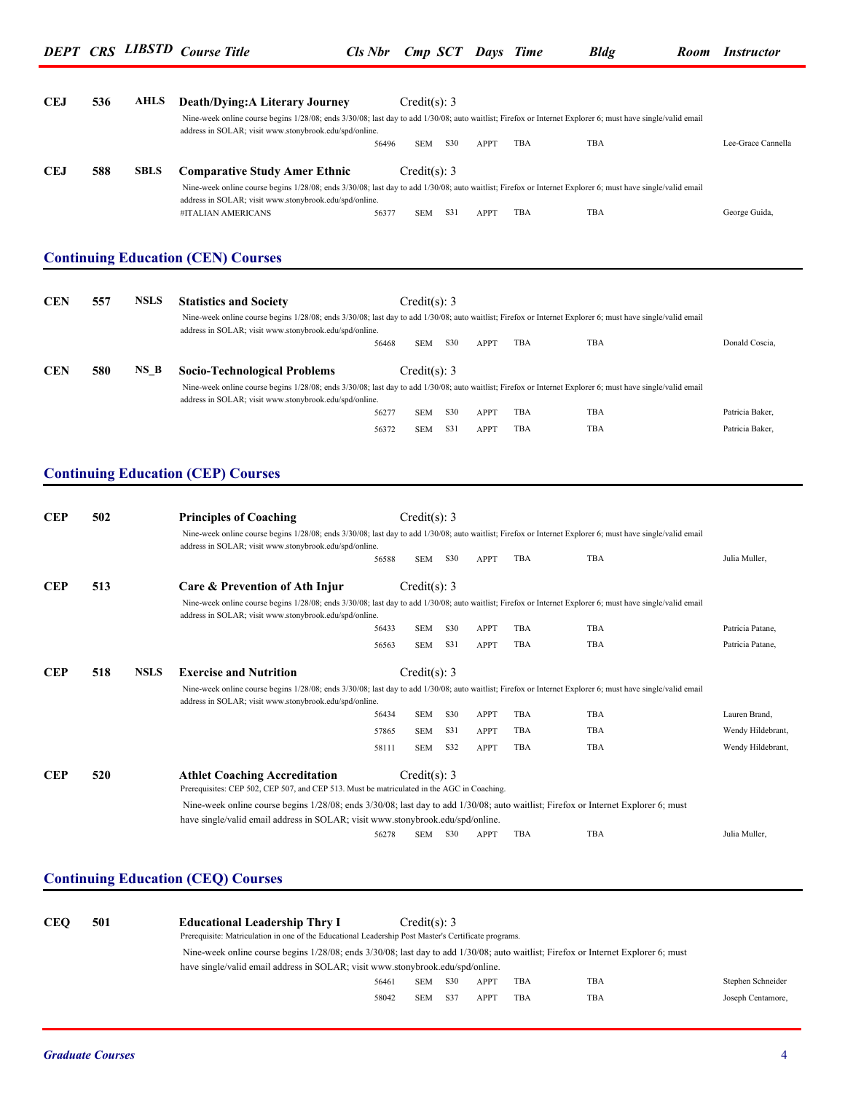| <b>CEJ</b>                             | 536 | <b>AHLS</b> | <b>Death/Dying:A Literary Journey</b>                                                                                                                                                                                |       | Credit(s): $3$ |     |             |            |     |                    |
|----------------------------------------|-----|-------------|----------------------------------------------------------------------------------------------------------------------------------------------------------------------------------------------------------------------|-------|----------------|-----|-------------|------------|-----|--------------------|
|                                        |     |             | Nine-week online course begins 1/28/08; ends 3/30/08; last day to add 1/30/08; auto waitlist; Firefox or Internet Explorer 6; must have single/valid email<br>address in SOLAR; visit www.stonybrook.edu/spd/online. |       |                |     |             |            |     |                    |
|                                        |     |             |                                                                                                                                                                                                                      | 56496 | SEM S30        |     | APPT        | TBA        | TBA | Lee-Grace Cannella |
|                                        |     | <b>SBLS</b> |                                                                                                                                                                                                                      |       |                |     |             |            |     |                    |
| <b>CEJ</b>                             | 588 |             | <b>Comparative Study Amer Ethnic</b><br>Nine-week online course begins 1/28/08; ends 3/30/08; last day to add 1/30/08; auto waitlist; Firefox or Internet Explorer 6; must have single/valid email                   |       | Credit(s): 3   |     |             |            |     |                    |
|                                        |     |             | address in SOLAR; visit www.stonybrook.edu/spd/online.                                                                                                                                                               |       |                |     |             |            |     |                    |
|                                        |     |             | #ITALIAN AMERICANS                                                                                                                                                                                                   | 56377 | SEM S31        |     | APPT        | TBA        | TBA | George Guida,      |
|                                        |     |             |                                                                                                                                                                                                                      |       |                |     |             |            |     |                    |
|                                        |     |             | <b>Continuing Education (CEN) Courses</b>                                                                                                                                                                            |       |                |     |             |            |     |                    |
|                                        |     |             |                                                                                                                                                                                                                      |       |                |     |             |            |     |                    |
| <b>CEN</b>                             | 557 | <b>NSLS</b> | <b>Statistics and Society</b>                                                                                                                                                                                        |       | Credit(s): 3   |     |             |            |     |                    |
|                                        |     |             | Nine-week online course begins 1/28/08; ends 3/30/08; last day to add 1/30/08; auto waitlist; Firefox or Internet Explorer 6; must have single/valid email                                                           |       |                |     |             |            |     |                    |
|                                        |     |             | address in SOLAR; visit www.stonybrook.edu/spd/online.                                                                                                                                                               | 56468 | <b>SEM</b>     | S30 | <b>APPT</b> | <b>TBA</b> | TBA | Donald Coscia,     |
|                                        |     |             |                                                                                                                                                                                                                      |       |                |     |             |            |     |                    |
| <b>CEN</b>                             | 580 | NS B        | <b>Socio-Technological Problems</b>                                                                                                                                                                                  |       | Credit(s): $3$ |     |             |            |     |                    |
|                                        |     |             | Nine-week online course begins 1/28/08; ends 3/30/08; last day to add 1/30/08; auto waitlist; Firefox or Internet Explorer 6; must have single/valid email<br>address in SOLAR; visit www.stonybrook.edu/spd/online. |       |                |     |             |            |     |                    |
|                                        |     |             |                                                                                                                                                                                                                      |       |                |     |             |            |     |                    |
|                                        |     |             |                                                                                                                                                                                                                      | 56277 | <b>SEM</b>     | S30 | <b>APPT</b> | TBA        | TBA | Patricia Baker,    |
|                                        |     |             |                                                                                                                                                                                                                      | 56372 | SEM            | S31 | APPT        | TBA        | TBA | Patricia Baker,    |
|                                        |     |             | <b>Continuing Education (CEP) Courses</b>                                                                                                                                                                            |       |                |     |             |            |     |                    |
|                                        | 502 |             | <b>Principles of Coaching</b>                                                                                                                                                                                        |       | Credit(s): 3   |     |             |            |     |                    |
|                                        |     |             | Nine-week online course begins 1/28/08; ends 3/30/08; last day to add 1/30/08; auto waitlist; Firefox or Internet Explorer 6; must have single/valid email                                                           |       |                |     |             |            |     |                    |
|                                        |     |             | address in SOLAR; visit www.stonybrook.edu/spd/online.                                                                                                                                                               |       |                |     |             |            |     |                    |
|                                        |     |             |                                                                                                                                                                                                                      | 56588 | <b>SEM</b>     | S30 | <b>APPT</b> | <b>TBA</b> | TBA | Julia Muller,      |
|                                        | 513 |             | Care & Prevention of Ath Injur                                                                                                                                                                                       |       | Credit(s): 3   |     |             |            |     |                    |
|                                        |     |             | Nine-week online course begins 1/28/08; ends 3/30/08; last day to add 1/30/08; auto waitlist; Firefox or Internet Explorer 6; must have single/valid email                                                           |       |                |     |             |            |     |                    |
|                                        |     |             | address in SOLAR; visit www.stonybrook.edu/spd/online.                                                                                                                                                               | 56433 | <b>SEM</b>     | S30 | <b>APPT</b> | TBA        | TBA | Patricia Patane,   |
|                                        |     |             |                                                                                                                                                                                                                      | 56563 | <b>SEM</b>     | S31 | <b>APPT</b> | TBA        | TBA | Patricia Patane,   |
|                                        |     |             |                                                                                                                                                                                                                      |       |                |     |             |            |     |                    |
|                                        | 518 | <b>NSLS</b> | <b>Exercise and Nutrition</b>                                                                                                                                                                                        |       | Credit(s): 3   |     |             |            |     |                    |
|                                        |     |             | Nine-week online course begins 1/28/08; ends 3/30/08; last day to add 1/30/08; auto waitlist; Firefox or Internet Explorer 6; must have single/valid email<br>address in SOLAR; visit www.stonybrook.edu/spd/online. |       |                |     |             |            |     |                    |
| <b>CEP</b><br><b>CEP</b><br><b>CEP</b> |     |             |                                                                                                                                                                                                                      | 56434 | SEM            | S30 | <b>APPT</b> | TBA        | TBA | Lauren Brand,      |
|                                        |     |             |                                                                                                                                                                                                                      | 57865 | <b>SEM</b>     | S31 | <b>APPT</b> | TBA        | TBA | Wendy Hildebrant,  |
|                                        |     |             |                                                                                                                                                                                                                      | 58111 | <b>SEM</b>     | S32 | <b>APPT</b> | TBA        | TBA | Wendy Hildebrant,  |

 Nine-week online course begins 1/28/08; ends 3/30/08; last day to add 1/30/08; auto waitlist; Firefox or Internet Explorer 6; must have single/valid email address in SOLAR; visit www.stonybrook.edu/spd/online.

56278 SEM S30 APPT TBA TBA Julia Muller,

### **Continuing Education (CEQ) Courses**

| <b>CEO</b> | 501 | <b>Educational Leadership Thry I</b><br>Prerequisite: Matriculation in one of the Educational Leadership Post Master's Certificate programs.<br>Nine-week online course begins 1/28/08; ends 3/30/08; last day to add 1/30/08; auto waitlist; Firefox or Internet Explorer 6; must<br>have single/valid email address in SOLAR; visit www.stonybrook.edu/spd/online. | Credit(s): 3 |     |             |     |     |                   |
|------------|-----|----------------------------------------------------------------------------------------------------------------------------------------------------------------------------------------------------------------------------------------------------------------------------------------------------------------------------------------------------------------------|--------------|-----|-------------|-----|-----|-------------------|
|            |     | 56461                                                                                                                                                                                                                                                                                                                                                                | <b>SEM</b>   | S30 | <b>APPT</b> | TBA | TBA | Stephen Schneider |
|            |     | 58042                                                                                                                                                                                                                                                                                                                                                                | <b>SEM</b>   | S37 | <b>APPT</b> | TBA | TBA | Joseph Centamore, |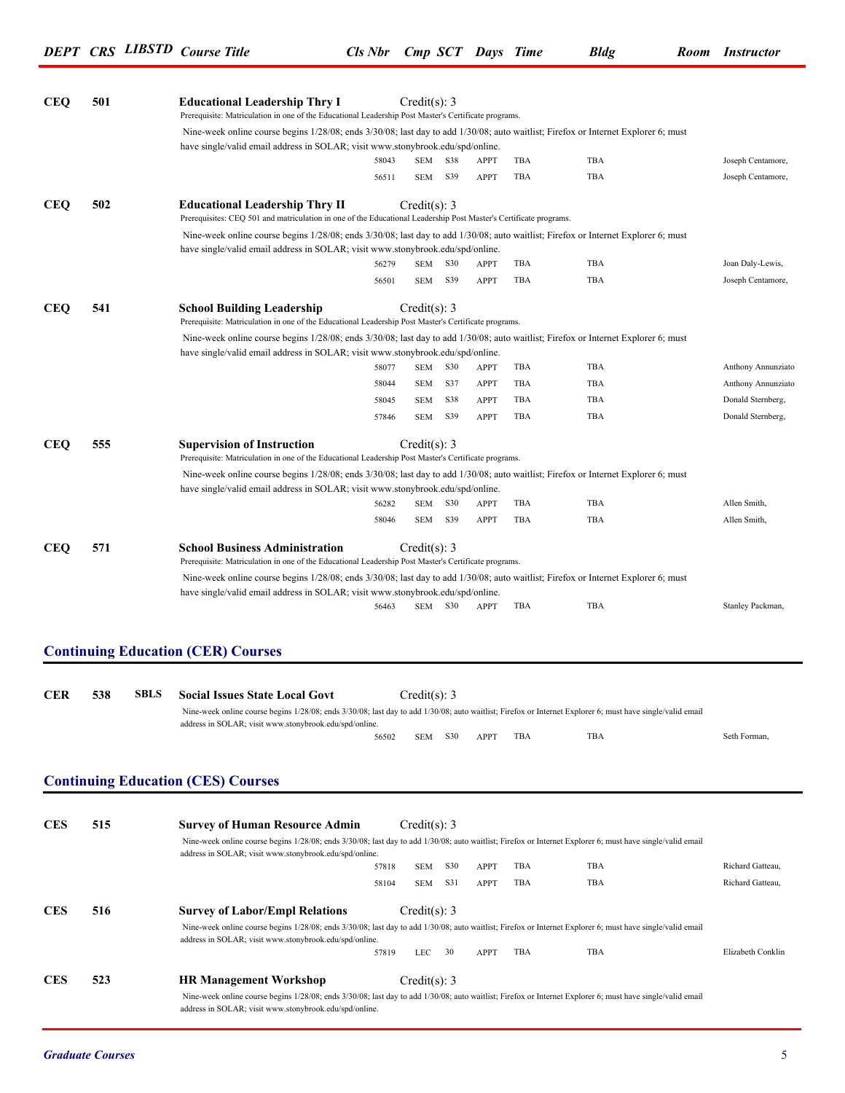| <b>CEQ</b> | 501 |             | <b>Educational Leadership Thry I</b><br>Prerequisite: Matriculation in one of the Educational Leadership Post Master's Certificate programs.                                                                         |       | Credit(s): 3   |     |             |     |     |                    |
|------------|-----|-------------|----------------------------------------------------------------------------------------------------------------------------------------------------------------------------------------------------------------------|-------|----------------|-----|-------------|-----|-----|--------------------|
|            |     |             | Nine-week online course begins 1/28/08; ends 3/30/08; last day to add 1/30/08; auto waitlist; Firefox or Internet Explorer 6; must                                                                                   |       |                |     |             |     |     |                    |
|            |     |             | have single/valid email address in SOLAR; visit www.stonybrook.edu/spd/online.                                                                                                                                       | 58043 | SEM            | S38 | APPT        | TBA | TBA | Joseph Centamore,  |
|            |     |             |                                                                                                                                                                                                                      | 56511 | SEM            | S39 | <b>APPT</b> | TBA | TBA | Joseph Centamore,  |
| <b>CEQ</b> | 502 |             | <b>Educational Leadership Thry II</b>                                                                                                                                                                                |       | Credit(s): 3   |     |             |     |     |                    |
|            |     |             | Prerequisites: CEQ 501 and matriculation in one of the Educational Leadership Post Master's Certificate programs.                                                                                                    |       |                |     |             |     |     |                    |
|            |     |             | Nine-week online course begins 1/28/08; ends 3/30/08; last day to add 1/30/08; auto waitlist; Firefox or Internet Explorer 6; must<br>have single/valid email address in SOLAR; visit www.stonybrook.edu/spd/online. |       |                |     |             |     |     |                    |
|            |     |             |                                                                                                                                                                                                                      | 56279 | SEM            | S30 | APPT        | TBA | TBA | Joan Daly-Lewis,   |
|            |     |             |                                                                                                                                                                                                                      | 56501 | SEM S39        |     | APPT        | TBA | TBA | Joseph Centamore,  |
| <b>CEQ</b> | 541 |             | <b>School Building Leadership</b><br>Prerequisite: Matriculation in one of the Educational Leadership Post Master's Certificate programs.                                                                            |       | Credit(s): 3   |     |             |     |     |                    |
|            |     |             | Nine-week online course begins 1/28/08; ends 3/30/08; last day to add 1/30/08; auto waitlist; Firefox or Internet Explorer 6; must<br>have single/valid email address in SOLAR; visit www.stonybrook.edu/spd/online. |       |                |     |             |     |     |                    |
|            |     |             |                                                                                                                                                                                                                      | 58077 | SEM            | S30 | APPT        | TBA | TBA | Anthony Annunziato |
|            |     |             |                                                                                                                                                                                                                      | 58044 | SEM            | S37 | APPT        | TBA | TBA | Anthony Annunziato |
|            |     |             |                                                                                                                                                                                                                      | 58045 | SEM            | S38 | APPT        | TBA | TBA | Donald Sternberg,  |
|            |     |             |                                                                                                                                                                                                                      | 57846 | SEM            | S39 | APPT        | TBA | TBA | Donald Sternberg,  |
| <b>CEQ</b> | 555 |             | <b>Supervision of Instruction</b><br>Prerequisite: Matriculation in one of the Educational Leadership Post Master's Certificate programs.                                                                            |       | Credit(s): 3   |     |             |     |     |                    |
|            |     |             | Nine-week online course begins 1/28/08; ends 3/30/08; last day to add 1/30/08; auto waitlist; Firefox or Internet Explorer 6; must                                                                                   |       |                |     |             |     |     |                    |
|            |     |             | have single/valid email address in SOLAR; visit www.stonybrook.edu/spd/online.                                                                                                                                       |       |                |     |             |     |     |                    |
|            |     |             |                                                                                                                                                                                                                      | 56282 | SEM S30        |     | APPT        | TBA | TBA | Allen Smith,       |
|            |     |             |                                                                                                                                                                                                                      | 58046 | SEM            | S39 | <b>APPT</b> | TBA | TBA | Allen Smith,       |
| <b>CEQ</b> | 571 |             | <b>School Business Administration</b><br>Prerequisite: Matriculation in one of the Educational Leadership Post Master's Certificate programs.                                                                        |       | Credit(s): 3   |     |             |     |     |                    |
|            |     |             | Nine-week online course begins 1/28/08; ends 3/30/08; last day to add 1/30/08; auto waitlist; Firefox or Internet Explorer 6; must                                                                                   |       |                |     |             |     |     |                    |
|            |     |             | have single/valid email address in SOLAR; visit www.stonybrook.edu/spd/online.                                                                                                                                       |       |                |     |             |     |     |                    |
|            |     |             |                                                                                                                                                                                                                      | 56463 | SEM S30        |     | APPT        | TBA | TBA | Stanley Packman,   |
|            |     |             |                                                                                                                                                                                                                      |       |                |     |             |     |     |                    |
|            |     |             | <b>Continuing Education (CER) Courses</b>                                                                                                                                                                            |       |                |     |             |     |     |                    |
|            |     |             |                                                                                                                                                                                                                      |       |                |     |             |     |     |                    |
| <b>CER</b> | 538 | <b>SBLS</b> | <b>Social Issues State Local Govt</b>                                                                                                                                                                                |       | Credit(s): $3$ |     |             |     |     |                    |
|            |     |             | Nine-week online course begins 1/28/08; ends 3/30/08; last day to add 1/30/08; auto waitlist; Firefox or Internet Explorer 6; must have single/valid email                                                           |       |                |     |             |     |     |                    |
|            |     |             | address in SOLAR; visit www.stonybrook.edu/spd/online.                                                                                                                                                               |       |                |     |             | TBA | TBA | Seth Forman,       |
|            |     |             |                                                                                                                                                                                                                      | 56502 | SEM            | S30 | APPT        |     |     |                    |
|            |     |             |                                                                                                                                                                                                                      |       |                |     |             |     |     |                    |
|            |     |             | <b>Continuing Education (CES) Courses</b>                                                                                                                                                                            |       |                |     |             |     |     |                    |
|            |     |             |                                                                                                                                                                                                                      |       |                |     |             |     |     |                    |
| <b>CES</b> | 515 |             | <b>Survey of Human Resource Admin</b><br>Nine-week online course begins 1/28/08; ends 3/30/08; last day to add 1/30/08; auto waitlist; Firefox or Internet Explorer 6; must have single/valid email                  |       | Credit(s): $3$ |     |             |     |     |                    |
|            |     |             | address in SOLAR; visit www.stonybrook.edu/spd/online.                                                                                                                                                               | 57818 | SEM            | S30 | APPT        | TBA | TBA | Richard Gatteau,   |
|            |     |             |                                                                                                                                                                                                                      | 58104 | SEM            | S31 | APPT        | TBA | TBA | Richard Gatteau,   |
|            |     |             |                                                                                                                                                                                                                      |       |                |     |             |     |     |                    |
| <b>CES</b> | 516 |             | <b>Survey of Labor/Empl Relations</b>                                                                                                                                                                                |       | Credit(s): 3   |     |             |     |     |                    |
|            |     |             | Nine-week online course begins 1/28/08; ends 3/30/08; last day to add 1/30/08; auto waitlist; Firefox or Internet Explorer 6; must have single/valid email                                                           |       |                |     |             |     |     |                    |
|            |     |             | address in SOLAR; visit www.stonybrook.edu/spd/online.                                                                                                                                                               | 57819 | LEC            | 30  | APPT        | TBA | TBA | Elizabeth Conklin  |
|            |     |             |                                                                                                                                                                                                                      |       |                |     |             |     |     |                    |
| <b>CES</b> | 523 |             | <b>HR Management Workshop</b>                                                                                                                                                                                        |       | Credit(s): $3$ |     |             |     |     |                    |
|            |     |             | Nine-week online course begins 1/28/08; ends 3/30/08; last day to add 1/30/08; auto waitlist; Firefox or Internet Explorer 6; must have single/valid email                                                           |       |                |     |             |     |     |                    |
|            |     |             | address in SOLAR; visit www.stonybrook.edu/spd/online.                                                                                                                                                               |       |                |     |             |     |     |                    |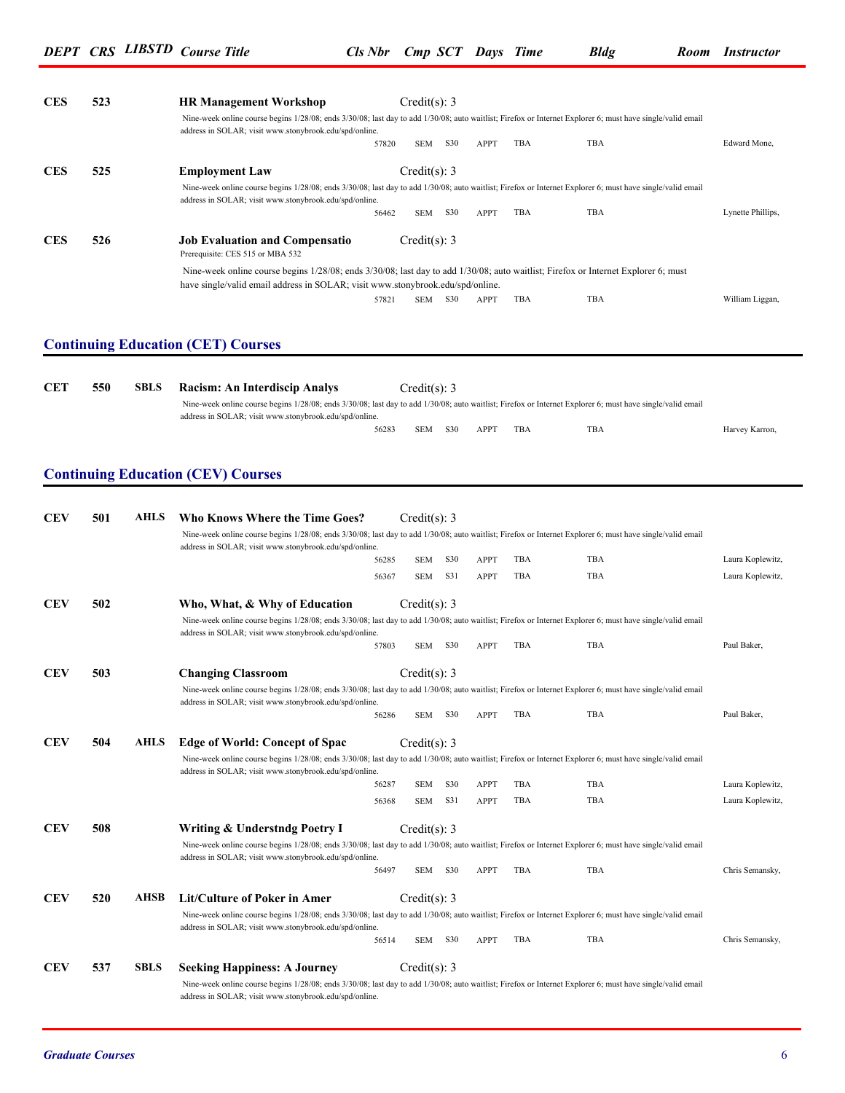| address in SOLAR; visit www.stonybrook.edu/spd/online.<br><b>CES</b><br>525<br><b>Employment Law</b><br>address in SOLAR; visit www.stonybrook.edu/spd/online.<br><b>CES</b><br>526<br><b>Job Evaluation and Compensatio</b><br>Prerequisite: CES 515 or MBA 532<br>have single/valid email address in SOLAR; visit www.stonybrook.edu/spd/online.<br><b>Continuing Education (CET) Courses</b><br><b>CET</b><br>550<br><b>SBLS</b><br>Racism: An Interdiscip Analys | 57820<br>56462<br>57821<br>Nine-week online course begins 1/28/08; ends 3/30/08; last day to add 1/30/08; auto waitlist; Firefox or Internet Explorer 6; must have single/valid email<br>56283 | <b>SEM</b><br>Credit(s): 3<br><b>SEM</b><br>Credit(s): 3<br>SEM<br>Credit(s): 3<br><b>SEM</b> | S30<br>S30<br>S30<br>S30 | APPT<br>APPT<br>APPT       | TBA<br>TBA<br>TBA | TBA<br>Nine-week online course begins 1/28/08; ends 3/30/08; last day to add 1/30/08; auto waitlist; Firefox or Internet Explorer 6; must have single/valid email<br>TBA<br>Nine-week online course begins 1/28/08; ends 3/30/08; last day to add 1/30/08; auto waitlist; Firefox or Internet Explorer 6; must<br>TBA | Edward Mone,<br>Lynette Phillips,<br>William Liggan, |
|----------------------------------------------------------------------------------------------------------------------------------------------------------------------------------------------------------------------------------------------------------------------------------------------------------------------------------------------------------------------------------------------------------------------------------------------------------------------|------------------------------------------------------------------------------------------------------------------------------------------------------------------------------------------------|-----------------------------------------------------------------------------------------------|--------------------------|----------------------------|-------------------|-----------------------------------------------------------------------------------------------------------------------------------------------------------------------------------------------------------------------------------------------------------------------------------------------------------------------|------------------------------------------------------|
|                                                                                                                                                                                                                                                                                                                                                                                                                                                                      |                                                                                                                                                                                                |                                                                                               |                          |                            |                   |                                                                                                                                                                                                                                                                                                                       |                                                      |
|                                                                                                                                                                                                                                                                                                                                                                                                                                                                      |                                                                                                                                                                                                |                                                                                               |                          |                            |                   |                                                                                                                                                                                                                                                                                                                       |                                                      |
|                                                                                                                                                                                                                                                                                                                                                                                                                                                                      |                                                                                                                                                                                                |                                                                                               |                          |                            |                   |                                                                                                                                                                                                                                                                                                                       |                                                      |
|                                                                                                                                                                                                                                                                                                                                                                                                                                                                      |                                                                                                                                                                                                |                                                                                               |                          |                            |                   |                                                                                                                                                                                                                                                                                                                       |                                                      |
|                                                                                                                                                                                                                                                                                                                                                                                                                                                                      |                                                                                                                                                                                                |                                                                                               |                          |                            |                   |                                                                                                                                                                                                                                                                                                                       |                                                      |
|                                                                                                                                                                                                                                                                                                                                                                                                                                                                      |                                                                                                                                                                                                |                                                                                               |                          |                            |                   |                                                                                                                                                                                                                                                                                                                       |                                                      |
|                                                                                                                                                                                                                                                                                                                                                                                                                                                                      |                                                                                                                                                                                                |                                                                                               |                          |                            |                   |                                                                                                                                                                                                                                                                                                                       |                                                      |
|                                                                                                                                                                                                                                                                                                                                                                                                                                                                      |                                                                                                                                                                                                |                                                                                               |                          |                            |                   |                                                                                                                                                                                                                                                                                                                       |                                                      |
|                                                                                                                                                                                                                                                                                                                                                                                                                                                                      |                                                                                                                                                                                                |                                                                                               |                          |                            |                   |                                                                                                                                                                                                                                                                                                                       |                                                      |
|                                                                                                                                                                                                                                                                                                                                                                                                                                                                      |                                                                                                                                                                                                |                                                                                               |                          |                            |                   |                                                                                                                                                                                                                                                                                                                       |                                                      |
| address in SOLAR; visit www.stonybrook.edu/spd/online.                                                                                                                                                                                                                                                                                                                                                                                                               |                                                                                                                                                                                                |                                                                                               |                          |                            |                   |                                                                                                                                                                                                                                                                                                                       |                                                      |
|                                                                                                                                                                                                                                                                                                                                                                                                                                                                      |                                                                                                                                                                                                |                                                                                               |                          | APPT                       | TBA               | TBA                                                                                                                                                                                                                                                                                                                   | Harvey Karron,                                       |
|                                                                                                                                                                                                                                                                                                                                                                                                                                                                      |                                                                                                                                                                                                |                                                                                               |                          |                            |                   |                                                                                                                                                                                                                                                                                                                       |                                                      |
| <b>Continuing Education (CEV) Courses</b>                                                                                                                                                                                                                                                                                                                                                                                                                            |                                                                                                                                                                                                |                                                                                               |                          |                            |                   |                                                                                                                                                                                                                                                                                                                       |                                                      |
|                                                                                                                                                                                                                                                                                                                                                                                                                                                                      |                                                                                                                                                                                                |                                                                                               |                          |                            |                   |                                                                                                                                                                                                                                                                                                                       |                                                      |
| <b>CEV</b><br>501<br><b>AHLS</b><br><b>Who Knows Where the Time Goes?</b>                                                                                                                                                                                                                                                                                                                                                                                            |                                                                                                                                                                                                | Credit(s): 3                                                                                  |                          |                            |                   | Nine-week online course begins 1/28/08; ends 3/30/08; last day to add 1/30/08; auto waitlist; Firefox or Internet Explorer 6; must have single/valid email                                                                                                                                                            |                                                      |
| address in SOLAR; visit www.stonybrook.edu/spd/online.                                                                                                                                                                                                                                                                                                                                                                                                               |                                                                                                                                                                                                |                                                                                               |                          |                            |                   |                                                                                                                                                                                                                                                                                                                       |                                                      |
|                                                                                                                                                                                                                                                                                                                                                                                                                                                                      | 56285                                                                                                                                                                                          | <b>SEM</b>                                                                                    | S30                      | APPT                       | TBA               | TBA                                                                                                                                                                                                                                                                                                                   | Laura Koplewitz,                                     |
|                                                                                                                                                                                                                                                                                                                                                                                                                                                                      | 56367                                                                                                                                                                                          | <b>SEM</b>                                                                                    | S31                      | APPT                       | TBA               | TBA                                                                                                                                                                                                                                                                                                                   | Laura Koplewitz,                                     |
| <b>CEV</b><br>502<br>Who, What, & Why of Education                                                                                                                                                                                                                                                                                                                                                                                                                   |                                                                                                                                                                                                | Credit(s): 3                                                                                  |                          |                            |                   |                                                                                                                                                                                                                                                                                                                       |                                                      |
| address in SOLAR; visit www.stonybrook.edu/spd/online.                                                                                                                                                                                                                                                                                                                                                                                                               |                                                                                                                                                                                                |                                                                                               |                          |                            |                   | Nine-week online course begins 1/28/08; ends 3/30/08; last day to add 1/30/08; auto waitlist; Firefox or Internet Explorer 6; must have single/valid email                                                                                                                                                            |                                                      |
|                                                                                                                                                                                                                                                                                                                                                                                                                                                                      | 57803                                                                                                                                                                                          | <b>SEM</b>                                                                                    | S30                      | APPT                       | TBA               | <b>TBA</b>                                                                                                                                                                                                                                                                                                            | Paul Baker,                                          |
| <b>CEV</b><br>503<br><b>Changing Classroom</b>                                                                                                                                                                                                                                                                                                                                                                                                                       |                                                                                                                                                                                                | Credit(s): 3                                                                                  |                          |                            |                   |                                                                                                                                                                                                                                                                                                                       |                                                      |
|                                                                                                                                                                                                                                                                                                                                                                                                                                                                      |                                                                                                                                                                                                |                                                                                               |                          |                            |                   | Nine-week online course begins 1/28/08; ends 3/30/08; last day to add 1/30/08; auto waitlist; Firefox or Internet Explorer 6; must have single/valid email                                                                                                                                                            |                                                      |
| address in SOLAR; visit www.stonybrook.edu/spd/online.                                                                                                                                                                                                                                                                                                                                                                                                               | 56286                                                                                                                                                                                          | SEM                                                                                           | <b>S30</b>               | APPT                       | TBA               | TBA                                                                                                                                                                                                                                                                                                                   | Paul Baker,                                          |
| <b>CEV</b><br>504<br>AHLS                                                                                                                                                                                                                                                                                                                                                                                                                                            |                                                                                                                                                                                                | Credit(s): $3$                                                                                |                          |                            |                   |                                                                                                                                                                                                                                                                                                                       |                                                      |
| <b>Edge of World: Concept of Spac</b>                                                                                                                                                                                                                                                                                                                                                                                                                                |                                                                                                                                                                                                |                                                                                               |                          |                            |                   | Nine-week online course begins 1/28/08; ends 3/30/08; last day to add 1/30/08; auto waitlist; Firefox or Internet Explorer 6; must have single/valid email                                                                                                                                                            |                                                      |
| address in SOLAR; visit www.stonybrook.edu/spd/online.                                                                                                                                                                                                                                                                                                                                                                                                               |                                                                                                                                                                                                |                                                                                               |                          |                            |                   |                                                                                                                                                                                                                                                                                                                       |                                                      |
|                                                                                                                                                                                                                                                                                                                                                                                                                                                                      | 56287<br>56368                                                                                                                                                                                 | <b>SEM</b><br><b>SEM</b>                                                                      | S30<br>S31               | <b>APPT</b><br><b>APPT</b> | TBA<br>TBA        | TBA<br>TBA                                                                                                                                                                                                                                                                                                            | Laura Koplewitz,<br>Laura Koplewitz,                 |
|                                                                                                                                                                                                                                                                                                                                                                                                                                                                      |                                                                                                                                                                                                |                                                                                               |                          |                            |                   |                                                                                                                                                                                                                                                                                                                       |                                                      |
| <b>CEV</b><br>508<br>Writing & Understndg Poetry I                                                                                                                                                                                                                                                                                                                                                                                                                   |                                                                                                                                                                                                | Credit(s): 3                                                                                  |                          |                            |                   |                                                                                                                                                                                                                                                                                                                       |                                                      |
| address in SOLAR; visit www.stonybrook.edu/spd/online.                                                                                                                                                                                                                                                                                                                                                                                                               |                                                                                                                                                                                                |                                                                                               |                          |                            |                   | Nine-week online course begins 1/28/08; ends 3/30/08; last day to add 1/30/08; auto waitlist; Firefox or Internet Explorer 6; must have single/valid email                                                                                                                                                            |                                                      |
|                                                                                                                                                                                                                                                                                                                                                                                                                                                                      | 56497                                                                                                                                                                                          | <b>SEM</b>                                                                                    | S30                      | APPT                       | TBA               | TBA                                                                                                                                                                                                                                                                                                                   | Chris Semansky,                                      |
| <b>CEV</b><br><b>AHSB</b><br>520<br>Lit/Culture of Poker in Amer                                                                                                                                                                                                                                                                                                                                                                                                     |                                                                                                                                                                                                | Credit(s): 3                                                                                  |                          |                            |                   |                                                                                                                                                                                                                                                                                                                       |                                                      |
| address in SOLAR; visit www.stonybrook.edu/spd/online.                                                                                                                                                                                                                                                                                                                                                                                                               |                                                                                                                                                                                                |                                                                                               |                          |                            |                   | Nine-week online course begins 1/28/08; ends 3/30/08; last day to add 1/30/08; auto waitlist; Firefox or Internet Explorer 6; must have single/valid email                                                                                                                                                            |                                                      |
|                                                                                                                                                                                                                                                                                                                                                                                                                                                                      | 56514                                                                                                                                                                                          | <b>SEM</b>                                                                                    | S30                      | <b>APPT</b>                | TBA               | TBA                                                                                                                                                                                                                                                                                                                   | Chris Semansky,                                      |
| <b>CEV</b><br>537<br><b>SBLS</b><br><b>Seeking Happiness: A Journey</b><br>address in SOLAR; visit www.stonybrook.edu/spd/online.                                                                                                                                                                                                                                                                                                                                    |                                                                                                                                                                                                | Credit(s): 3                                                                                  |                          |                            |                   | Nine-week online course begins 1/28/08; ends 3/30/08; last day to add 1/30/08; auto waitlist; Firefox or Internet Explorer 6; must have single/valid email                                                                                                                                                            |                                                      |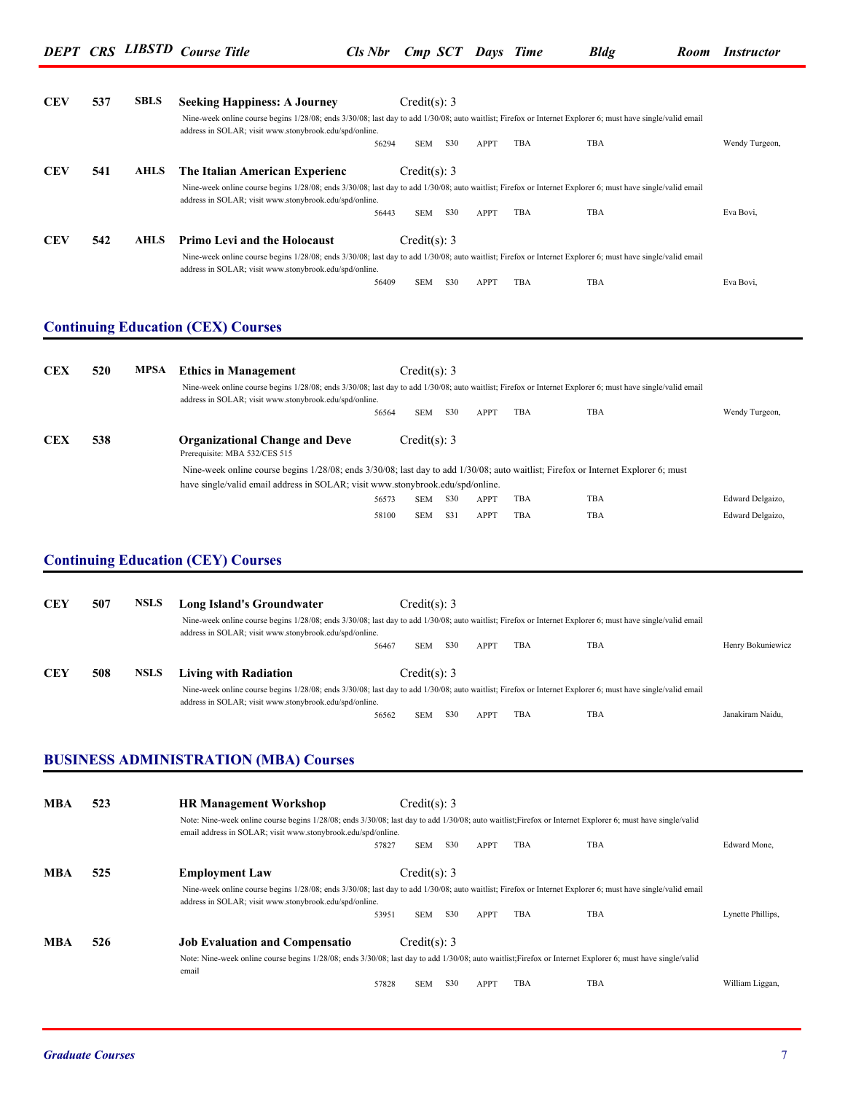| <b>CEV</b> | 537 | <b>SBLS</b> | <b>Seeking Happiness: A Journey</b>                                                                                                                                                                                        |                | Credit(s): 3     |            |              |            |            |                                      |
|------------|-----|-------------|----------------------------------------------------------------------------------------------------------------------------------------------------------------------------------------------------------------------------|----------------|------------------|------------|--------------|------------|------------|--------------------------------------|
|            |     |             | Nine-week online course begins 1/28/08; ends 3/30/08; last day to add 1/30/08; auto waitlist; Firefox or Internet Explorer 6; must have single/valid email                                                                 |                |                  |            |              |            |            |                                      |
|            |     |             | address in SOLAR; visit www.stonybrook.edu/spd/online.                                                                                                                                                                     | 56294          | <b>SEM</b>       | S30        | APPT         | TBA        | TBA        | Wendy Turgeon,                       |
| <b>CEV</b> | 541 | <b>AHLS</b> | The Italian American Experienc                                                                                                                                                                                             |                | Credit(s): 3     |            |              |            |            |                                      |
|            |     |             | Nine-week online course begins 1/28/08; ends 3/30/08; last day to add 1/30/08; auto waitlist; Firefox or Internet Explorer 6; must have single/valid email<br>address in SOLAR; visit www.stonybrook.edu/spd/online.       |                |                  |            |              |            |            |                                      |
|            |     |             |                                                                                                                                                                                                                            | 56443          | SEM S30          |            | <b>APPT</b>  | TBA        | TBA        | Eva Bovi,                            |
| <b>CEV</b> | 542 | <b>AHLS</b> | <b>Primo Levi and the Holocaust</b>                                                                                                                                                                                        |                | Credit $(s)$ : 3 |            |              |            |            |                                      |
|            |     |             | Nine-week online course begins 1/28/08; ends 3/30/08; last day to add 1/30/08; auto waitlist; Firefox or Internet Explorer 6; must have single/valid email                                                                 |                |                  |            |              |            |            |                                      |
|            |     |             | address in SOLAR; visit www.stonybrook.edu/spd/online.                                                                                                                                                                     |                |                  |            |              |            |            |                                      |
|            |     |             |                                                                                                                                                                                                                            | 56409          | SEM              | S30        | APPT         | TBA        | TBA        | Eva Bovi,                            |
|            |     |             | <b>Continuing Education (CEX) Courses</b>                                                                                                                                                                                  |                |                  |            |              |            |            |                                      |
|            |     |             |                                                                                                                                                                                                                            |                |                  |            |              |            |            |                                      |
| <b>CEX</b> | 520 | MPSA        | <b>Ethics in Management</b>                                                                                                                                                                                                |                | Credit(s): 3     |            |              |            |            |                                      |
|            |     |             | Nine-week online course begins 1/28/08; ends 3/30/08; last day to add 1/30/08; auto waitlist; Firefox or Internet Explorer 6; must have single/valid email                                                                 |                |                  |            |              |            |            |                                      |
|            |     |             | address in SOLAR; visit www.stonybrook.edu/spd/online.                                                                                                                                                                     |                |                  |            |              |            |            |                                      |
|            |     |             |                                                                                                                                                                                                                            | 56564          | <b>SEM</b>       | S30        | <b>APPT</b>  | TBA        | TBA        | Wendy Turgeon,                       |
| <b>CEX</b> | 538 |             | <b>Organizational Change and Deve</b><br>Prerequisite: MBA 532/CES 515                                                                                                                                                     |                | Credit(s): 3     |            |              |            |            |                                      |
|            |     |             | Nine-week online course begins $1/28/08$ ; ends $3/30/08$ ; last day to add $1/30/08$ ; auto waitlist; Firefox or Internet Explorer 6; must                                                                                |                |                  |            |              |            |            |                                      |
|            |     |             | have single/valid email address in SOLAR; visit www.stonybrook.edu/spd/online.                                                                                                                                             |                |                  |            |              |            |            |                                      |
|            |     |             |                                                                                                                                                                                                                            | 56573<br>58100 | SEM<br>SEM       | S30<br>S31 | APPT<br>APPT | TBA<br>TBA | TBA<br>TBA | Edward Delgaizo,<br>Edward Delgaizo, |
|            |     |             |                                                                                                                                                                                                                            |                |                  |            |              |            |            |                                      |
| <b>CEY</b> | 507 | <b>NSLS</b> | <b>Continuing Education (CEY) Courses</b><br><b>Long Island's Groundwater</b>                                                                                                                                              |                | Credit(s): 3     |            |              |            |            |                                      |
|            |     |             | Nine-week online course begins 1/28/08; ends 3/30/08; last day to add 1/30/08; auto waitlist; Firefox or Internet Explorer 6; must have single/valid email                                                                 |                |                  |            |              |            |            |                                      |
|            |     |             | address in SOLAR; visit www.stonybrook.edu/spd/online.                                                                                                                                                                     |                |                  |            |              |            |            |                                      |
|            |     |             |                                                                                                                                                                                                                            | 56467          | SEM              | <b>S30</b> | APPT         | TBA        | TBA        | Henry Bokuniewicz                    |
| <b>CEY</b> | 508 | <b>NSLS</b> | <b>Living with Radiation</b>                                                                                                                                                                                               |                | Credit(s): 3     |            |              |            |            |                                      |
|            |     |             | Nine-week online course begins 1/28/08; ends 3/30/08; last day to add 1/30/08; auto waitlist; Firefox or Internet Explorer 6; must have single/valid email                                                                 |                |                  |            |              |            |            |                                      |
|            |     |             | address in SOLAR; visit www.stonybrook.edu/spd/online.                                                                                                                                                                     | 56562          | <b>SEM</b>       | <b>S30</b> | APPT         | TBA        | TBA        | Janakiram Naidu,                     |
|            |     |             |                                                                                                                                                                                                                            |                |                  |            |              |            |            |                                      |
|            |     |             |                                                                                                                                                                                                                            |                |                  |            |              |            |            |                                      |
|            |     |             | <b>BUSINESS ADMINISTRATION (MBA) Courses</b>                                                                                                                                                                               |                |                  |            |              |            |            |                                      |
|            |     |             |                                                                                                                                                                                                                            |                |                  |            |              |            |            |                                      |
| MBA        | 523 |             | <b>HR Management Workshop</b>                                                                                                                                                                                              |                | Credit $(s)$ : 3 |            |              |            |            |                                      |
|            |     |             | Note: Nine-week online course begins 1/28/08; ends 3/30/08; last day to add 1/30/08; auto waitlist; Firefox or Internet Explorer 6; must have single/valid<br>email address in SOLAR; visit www.stonybrook.edu/spd/online. |                |                  |            |              |            |            |                                      |
|            |     |             |                                                                                                                                                                                                                            | 57827          | SEM              | S30        | APPT         | TBA        | TBA        | Edward Mone,                         |
|            |     |             |                                                                                                                                                                                                                            |                |                  |            |              |            |            |                                      |
| MBA        | 525 |             | <b>Employment Law</b>                                                                                                                                                                                                      |                | Credit(s): 3     |            |              |            |            |                                      |
|            |     |             | Nine-week online course begins 1/28/08; ends 3/30/08; last day to add 1/30/08; auto waitlist; Firefox or Internet Explorer 6; must have single/valid email<br>address in SOLAR; visit www.stonybrook.edu/spd/online.       |                |                  |            |              |            |            |                                      |
|            |     |             |                                                                                                                                                                                                                            | 53951          | SEM              | S30        | APPT         | TBA        | TBA        | Lynette Phillips,                    |
| MBA        | 526 |             | <b>Job Evaluation and Compensatio</b>                                                                                                                                                                                      |                | Credit(s): 3     |            |              |            |            |                                      |
|            |     |             | Note: Nine-week online course begins 1/28/08; ends 3/30/08; last day to add 1/30/08; auto waitlist; Firefox or Internet Explorer 6; must have single/valid                                                                 |                |                  |            |              |            |            |                                      |
|            |     |             | email                                                                                                                                                                                                                      |                |                  |            |              |            |            |                                      |
|            |     |             |                                                                                                                                                                                                                            | 57828          | SEM              | <b>S30</b> | APPT         | TBA        | TBA        | William Liggan,                      |
|            |     |             |                                                                                                                                                                                                                            |                |                  |            |              |            |            |                                      |